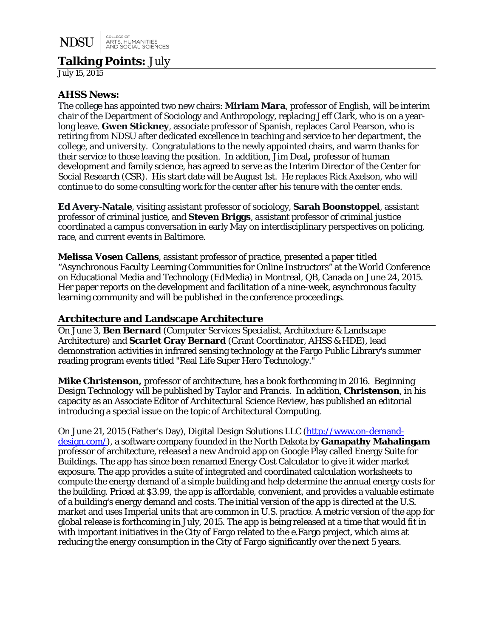# **Talking Points:** July

July 15, 2015

### **AHSS News:**

The college has appointed two new chairs: **Miriam Mara**, professor of English, will be interim chair of the Department of Sociology and Anthropology, replacing Jeff Clark, who is on a yearlong leave. **Gwen Stickney**, associate professor of Spanish, replaces Carol Pearson, who is retiring from NDSU after dedicated excellence in teaching and service to her department, the college, and university. Congratulations to the newly appointed chairs, and warm thanks for their service to those leaving the position. In addition, Jim Deal**,** professor of human development and family science, has agreed to serve as the Interim Director of the Center for Social Research (CSR). His start date will be August 1st. He replaces Rick Axelson, who will continue to do some consulting work for the center after his tenure with the center ends.

**Ed Avery-Natale**, visiting assistant professor of sociology, **Sarah Boonstoppel**, assistant professor of criminal justice, and **Steven Briggs**, assistant professor of criminal justice coordinated a campus conversation in early May on interdisciplinary perspectives on policing, race, and current events in Baltimore.

**Melissa Vosen Callens**, assistant professor of practice, presented a paper titled "Asynchronous Faculty Learning Communities for Online Instructors" at the World Conference on Educational Media and Technology (EdMedia) in Montreal, QB, Canada on June 24, 2015. Her paper reports on the development and facilitation of a nine-week, asynchronous faculty learning community and will be published in the conference proceedings.

### **Architecture and Landscape Architecture**

On June 3, **Ben Bernard** (Computer Services Specialist, Architecture & Landscape Architecture) and **Scarlet Gray Bernard** (Grant Coordinator, AHSS & HDE), lead demonstration activities in infrared sensing technology at the Fargo Public Library's summer reading program events titled "Real Life Super Hero Technology."

**Mike Christenson,** professor of architecture, has a book forthcoming in 2016. *Beginning Design Technology* will be published by Taylor and Francis. In addition, **Christenson**, in his capacity as an Associate Editor of *Architectural Science Review*, has published an editorial introducing a special issue on the topic of Architectural Computing.

On June 21, 2015 (Father's Day), Digital Design Solutions LLC [\(http://www.on-demand](http://www.on-demand-design.com/)[design.com/\)](http://www.on-demand-design.com/), a software company founded in the North Dakota by **Ganapathy Mahalingam**  professor of architecture, released a new Android app on Google Play called Energy Suite for Buildings. The app has since been renamed Energy Cost Calculator to give it wider market exposure. The app provides a suite of integrated and coordinated calculation worksheets to compute the energy demand of a simple building and help determine the annual energy costs for the building. Priced at \$3.99, the app is affordable, convenient, and provides a valuable estimate of a building's energy demand and costs. The initial version of the app is directed at the U.S. market and uses Imperial units that are common in U.S. practice. A metric version of the app for global release is forthcoming in July, 2015. The app is being released at a time that would fit in with important initiatives in the City of Fargo related to the e.Fargo project, which aims at reducing the energy consumption in the City of Fargo significantly over the next 5 years.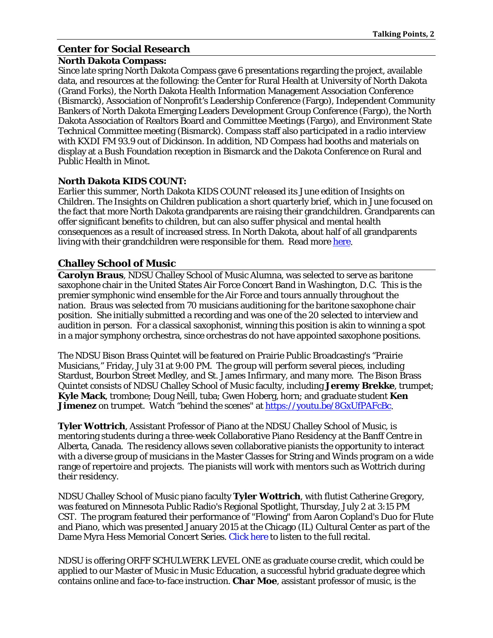## **Center for Social Research**

### **North Dakota Compass:**

Since late spring North Dakota Compass gave 6 presentations regarding the project, available data, and resources at the following: the Center for Rural Health at University of North Dakota (Grand Forks), the North Dakota Health Information Management Association Conference (Bismarck), Association of Nonprofit's Leadership Conference (Fargo), Independent Community Bankers of North Dakota Emerging Leaders Development Group Conference (Fargo), the North Dakota Association of Realtors Board and Committee Meetings (Fargo), and Environment State Technical Committee meeting (Bismarck). Compass staff also participated in a radio interview with KXDI FM 93.9 out of Dickinson. In addition, ND Compass had booths and materials on display at a Bush Foundation reception in Bismarck and the Dakota Conference on Rural and Public Health in Minot.

### **North Dakota KIDS COUNT:**

Earlier this summer, North Dakota KIDS COUNT released its June edition of *Insights on Children*. The *Insights on Children* publication a short quarterly brief, which in June focused on the fact that more North Dakota grandparents are raising their grandchildren. Grandparents can offer significant benefits to children, but can also suffer physical and mental health consequences as a result of increased stress. In North Dakota, about half of all grandparents living with their grandchildren were responsible for them. Read mor[e here.](http://www.ndkidscount.org/publications/insights/IOC4_2_June2015_Grandparents2013.pdf)

## **Challey School of Music**

**Carolyn Braus**, NDSU Challey School of Music Alumna, was selected to serve as baritone saxophone chair in the United States Air Force Concert Band in Washington, D.C. This is the premier symphonic wind ensemble for the Air Force and tours annually throughout the nation. Braus was selected from 70 musicians auditioning for the baritone saxophone chair position. She initially submitted a recording and was one of the 20 selected to interview and audition in person. For a classical saxophonist, winning this position is akin to winning a spot in a major symphony orchestra, since orchestras do not have appointed saxophone positions.

The NDSU Bison Brass Quintet will be featured on Prairie Public Broadcasting's "Prairie Musicians," Friday, July 31 at 9:00 PM. The group will perform several pieces, including Stardust, Bourbon Street Medley, and St. James Infirmary, and many more. The Bison Brass Quintet consists of NDSU Challey School of Music faculty, including **Jeremy Brekke**, trumpet; **Kyle Mack**, trombone; Doug Neill, tuba; Gwen Hoberg, horn; and graduate student **Ken Jimenez** on trumpet. Watch "behind the scenes" at [https://youtu.be/8GxUfPAFcBc.](https://youtu.be/8GxUfPAFcBc)

**Tyler Wottrich**, Assistant Professor of Piano at the NDSU Challey School of Music, is mentoring students during a three-week Collaborative Piano Residency at the Banff Centre in Alberta, Canada. The residency allows seven collaborative pianists the opportunity to interact with a diverse group of musicians in the Master Classes for String and Winds program on a wide range of repertoire and projects. The pianists will work with mentors such as Wottrich during their residency.

NDSU Challey School of Music piano faculty **Tyler Wottrich**, with flutist Catherine Gregory, was featured on Minnesota Public Radio's Regional Spotlight, Thursday, July 2 at 3:15 PM CST. The program featured their performance of "Flowing" from Aaron Copland's Duo for Flute and Piano, which was presented January 2015 at the Chicago (IL) Cultural Center as part of the Dame Myra Hess Memorial Concert Series. [Click here](http://blogs.wfmt.com/hess/2015/01/21/catherine-gregory-flute-and-tyler-wottrich-piano/) to listen to the full recital.

NDSU is offering ORFF SCHULWERK LEVEL ONE as graduate course credit, which could be applied to our Master of Music in Music Education, a successful hybrid graduate degree which contains online and face-to-face instruction. **Char Moe**, assistant professor of music, is the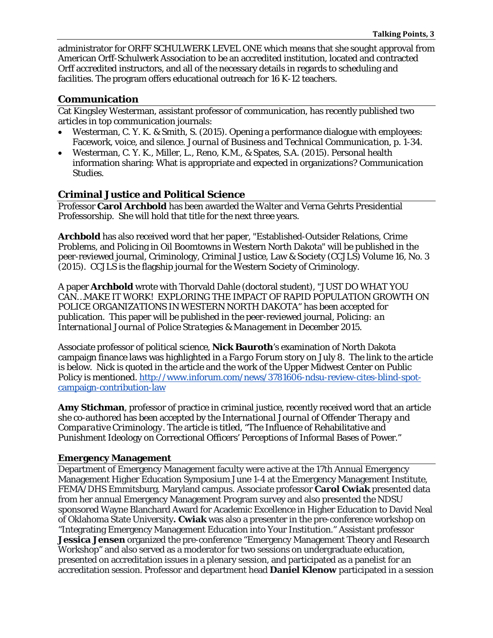administrator for ORFF SCHULWERK LEVEL ONE which means that she sought approval from American Orff-Schulwerk Association to be an accredited institution, located and contracted Orff accredited instructors, and all of the necessary details in regards to scheduling and facilities. The program offers educational outreach for 16 K-12 teachers.

## **Communication**

Cat Kingsley Westerman, assistant professor of communication, has recently published two articles in top communication journals:

- Westerman, C. Y. K. & Smith, S. (2015). Opening a performance dialogue with employees: Facework, voice, and silence*. Journal of Business and Technical Communicatio*n, p. 1-34.
- Westerman, C. Y. K., Miller, L., Reno, K.M., & Spates, S.A. (2015). Personal health information sharing: What is appropriate and expected in organizations? *Communication Studies*.

## **Criminal Justice and Political Science**

Professor **Carol Archbold** has been awarded the Walter and Verna Gehrts Presidential Professorship. She will hold that title for the next three years.

**Archbold** has also received word that her paper, "Established-Outsider Relations, Crime Problems, and Policing in Oil Boomtowns in Western North Dakota" will be published in the peer-reviewed journal, Criminology, Criminal Justice, Law & Society (CCJLS) Volume 16, No. 3 (2015). CCJLS is the flagship journal for the Western Society of Criminology.

A paper **Archbold** wrote with Thorvald Dahle (doctoral student), "JUST DO WHAT YOU CAN…MAKE IT WORK! EXPLORING THE IMPACT OF RAPID POPULATION GROWTH ON POLICE ORGANIZATIONS IN WESTERN NORTH DAKOTA" has been accepted for publication. This paper will be published in the peer-reviewed journal, *Policing: an International Journal of Police Strategies & Management* in December 2015.

Associate professor of political science, **Nick Bauroth**'s examination of North Dakota campaign finance laws was highlighted in a *Fargo Forum* story on July 8. The link to the article is below. Nick is quoted in the article and the work of the Upper Midwest Center on Public Policy is mentioned. [http://www.inforum.com/news/3781606-ndsu-review-cites-blind-spot](http://www.inforum.com/news/3781606-ndsu-review-cites-blind-spot-campaign-contribution-law)[campaign-contribution-law](http://www.inforum.com/news/3781606-ndsu-review-cites-blind-spot-campaign-contribution-law)

**Amy Stichman**, professor of practice in criminal justice, recently received word that an article she co-authored has been accepted by the *International Journal of Offender Therapy and Comparative Criminology*. The article is titled, "The Influence of Rehabilitative and Punishment Ideology on Correctional Officers' Perceptions of Informal Bases of Power."

## **Emergency Management**

Department of Emergency Management faculty were active at the 17th Annual Emergency Management Higher Education Symposium June 1-4 at the Emergency Management Institute, FEMA/DHS Emmitsburg, Maryland campus. Associate professor **Carol Cwiak** presented data from her annual Emergency Management Program survey and also presented the NDSU sponsored Wayne Blanchard Award for Academic Excellence in Higher Education to David Neal of Oklahoma State University**. Cwiak** was also a presenter in the pre-conference workshop on "Integrating Emergency Management Education into Your Institution." Assistant professor **Jessica Jensen** organized the pre-conference "Emergency Management Theory and Research Workshop" and also served as a moderator for two sessions on undergraduate education, presented on accreditation issues in a plenary session, and participated as a panelist for an accreditation session. Professor and department head **Daniel Klenow** participated in a session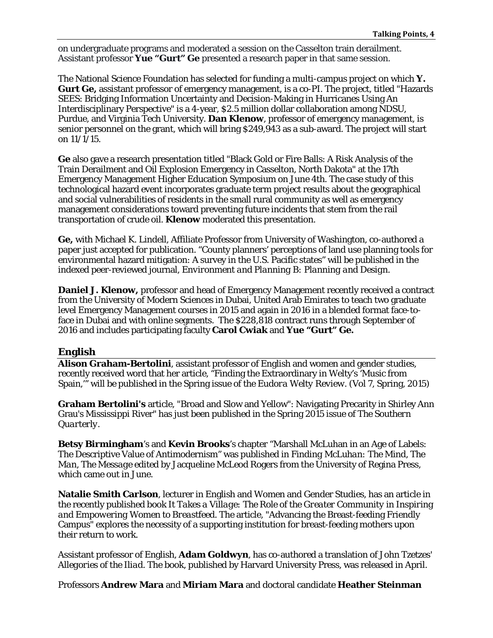on undergraduate programs and moderated a session on the Casselton train derailment. Assistant professor **Yue "Gurt" Ge** presented a research paper in that same session.

The National Science Foundation has selected for funding a multi-campus project on which **Y. Gurt Ge,** assistant professor of emergency management, is a co-PI. The project, titled "Hazards SEES: Bridging Information Uncertainty and Decision-Making in Hurricanes Using An Interdisciplinary Perspective" is a 4-year, \$2.5 million dollar collaboration among NDSU, Purdue, and Virginia Tech University. **Dan Klenow**, professor of emergency management, is senior personnel on the grant, which will bring \$249,943 as a sub-award. The project will start on 11/1/15.

**Ge** also gave a research presentation titled "Black Gold or Fire Balls: A Risk Analysis of the Train Derailment and Oil Explosion Emergency in Casselton, North Dakota" at the 17th Emergency Management Higher Education Symposium on June 4th. The case study of this technological hazard event incorporates graduate term project results about the geographical and social vulnerabilities of residents in the small rural community as well as emergency management considerations toward preventing future incidents that stem from the rail transportation of crude oil. **Klenow** moderated this presentation.

**Ge,** with Michael K. Lindell, Affiliate Professor from University of Washington, co-authored a paper just accepted for publication. "County planners' perceptions of land use planning tools for environmental hazard mitigation: A survey in the U.S. Pacific states" will be published in the indexed peer-reviewed journal, *Environment and Planning B: Planning and Design*.

**Daniel J. Klenow,** professor and head of Emergency Management recently received a contract from the University of Modern Sciences in Dubai, United Arab Emirates to teach two graduate level Emergency Management courses in 2015 and again in 2016 in a blended format face-toface in Dubai and with online segments. The \$228,818 contract runs through September of 2016 and includes participating faculty **Carol Cwiak** and **Yue "Gurt" Ge.**

## **English**

**Alison Graham-Bertolini**, assistant professor of English and women and gender studies, recently received word that her article, "Finding the Extraordinary in Welty's 'Music from Spain,'" will be published in the Spring issue of the *Eudora Welty Review*. (Vol 7, Spring, 2015)

**Graham Bertolini's** article, "Broad and Slow and Yellow": Navigating Precarity in Shirley Ann Grau's Mississippi River" has just been published in the Spring 2015 issue of *The Southern Quarterly*.

**Betsy Birmingham**'s and **Kevin Brooks**'s chapter "Marshall McLuhan in an Age of Labels: The Descriptive Value of Antimodernism" was published in *Finding McLuhan: The Mind, The Man, The Message* edited by Jacqueline McLeod Rogers from the University of Regina Press, which came out in June.

**Natalie Smith Carlson**, lecturer in English and Women and Gender Studies, has an article in the recently published book *It Takes a Village: The Role of the Greater Community in Inspiring and Empowering Women to Breastfeed*. The article, "Advancing the Breast-feeding Friendly Campus" explores the necessity of a supporting institution for breast-feeding mothers upon their return to work.

Assistant professor of English, **Adam Goldwyn**, has co-authored a translation of John Tzetzes' *Allegories of the Iliad*. The book, published by Harvard University Press, was released in April.

Professors **Andrew Mara** and **Miriam Mara** and doctoral candidate **Heather Steinman**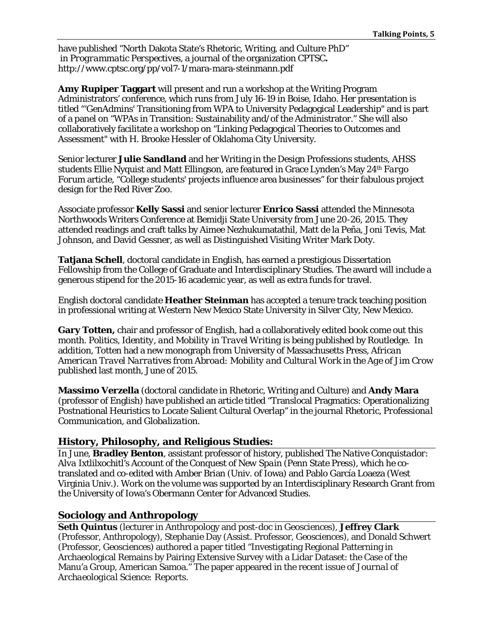have published "North Dakota State's Rhetoric, Writing, and Culture PhD" in *Programmatic Perspectives,* a journal of the organization CPTSC**.**  http://www.cptsc.org/pp/vol7-1/mara-mara-steinmann.pdf

**Amy Rupiper Taggart** will present and run a workshop at the Writing Program Administrators' conference, which runs from July 16-19 in Boise, Idaho. Her presentation is titled "'GenAdmins' Transitioning from WPA to University Pedagogical Leadership" and is part of a panel on "WPAs in Transition: Sustainability and/of the Administrator." She will also collaboratively facilitate a workshop on "Linking Pedagogical Theories to Outcomes and Assessment" with H. Brooke Hessler of Oklahoma City University.

Senior lecturer **Julie Sandland** and her Writing in the Design Professions students, AHSS students Ellie Nyquist and Matt Ellingson, are featured in Grace Lynden's May 24th *Fargo Forum* article, "College students' projects influence area businesses" for their fabulous project design for the Red River Zoo.

Associate professor **Kelly Sassi** and senior lecturer **Enrico Sassi** attended the Minnesota Northwoods Writers Conference at Bemidji State University from June 20-26, 2015. They attended readings and craft talks by Aimee Nezhukumatathil, Matt de la Peña, Joni Tevis, Mat Johnson, and David Gessner, as well as Distinguished Visiting Writer Mark Doty.

**Tatjana Schell**, doctoral candidate in English, has earned a prestigious Dissertation Fellowship from the College of Graduate and Interdisciplinary Studies. The award will include a generous stipend for the 2015-16 academic year, as well as extra funds for travel.

English doctoral candidate **Heather Steinman** has accepted a tenure track teaching position in professional writing at Western New Mexico State University in Silver City, New Mexico.

**Gary Totten,** chair and professor of English, had a collaboratively edited book come out this month. *Politics, Identity, and Mobility in Travel Writing* is being published by Routledge. In addition, Totten had a new monograph from University of Massachusetts Press, *African American Travel Narratives from Abroad: Mobility and Cultural Work in the Age of Jim Crow* published last month, June of 2015.

**Massimo Verzella** (doctoral candidate in Rhetoric, Writing and Culture) and **Andy Mara** (professor of English) have published an article titled "Translocal Pragmatics: Operationalizing Postnational Heuristics to Locate Salient Cultural Overlap" in the journal *Rhetoric, Professional Communication, and Globalization*.

## **History, Philosophy, and Religious Studies:**

In June, **Bradley Benton**, assistant professor of history, published *The Native Conquistador: Alva Ixtlilxochitl's Account of the Conquest of New Spain* (Penn State Press), which he cotranslated and co-edited with Amber Brian (Univ. of Iowa) and Pablo García Loaeza (West Virginia Univ.). Work on the volume was supported by an Interdisciplinary Research Grant from the University of Iowa's Obermann Center for Advanced Studies.

## **Sociology and Anthropology**

**Seth Quintus** (lecturer in Anthropology and post-doc in Geosciences), **Jeffrey Clark**  (Professor, Anthropology), Stephanie Day (Assist. Professor, Geosciences), and Donald Schwert (Professor, Geosciences) authored a paper titled "Investigating Regional Patterning in Archaeological Remains by Pairing Extensive Survey with a Lidar Dataset: the Case of the Manu'a Group, American Samoa." The paper appeared in the recent issue of *Journal of Archaeological Science: Reports*.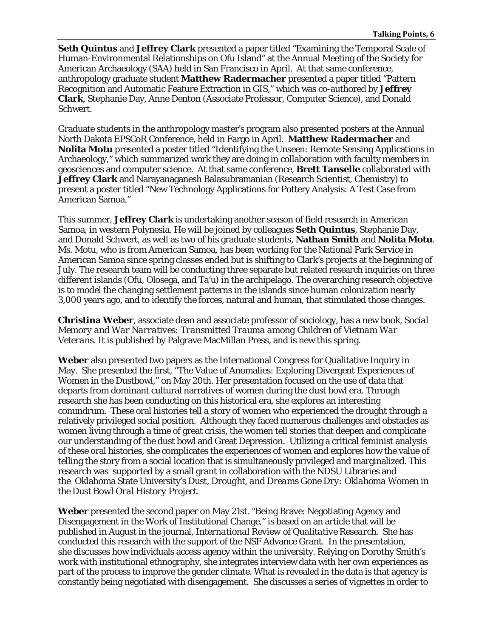**Seth Quintus** and **Jeffrey Clark** presented a paper titled "Examining the Temporal Scale of Human-Environmental Relationships on Ofu Island" at the Annual Meeting of the Society for American Archaeology (SAA) held in San Francisco in April. At that same conference, anthropology graduate student **Matthew Radermacher** presented a paper titled "Pattern Recognition and Automatic Feature Extraction in GIS," which was co-authored by **Jeffrey Clark**, Stephanie Day, Anne Denton (Associate Professor, Computer Science), and Donald Schwert.

Graduate students in the anthropology master's program also presented posters at the Annual North Dakota EPSCoR Conference, held in Fargo in April. **Matthew Radermacher** and **Nolita Motu** presented a poster titled "Identifying the Unseen: Remote Sensing Applications in Archaeology," which summarized work they are doing in collaboration with faculty members in geosciences and computer science. At that same conference, **Brett Tanselle** collaborated with **Jeffrey Clark** and Narayanaganesh Balasubramanian (Research Scientist, Chemistry) to present a poster titled "New Technology Applications for Pottery Analysis: A Test Case from American Samoa."

This summer, **Jeffrey Clark** is undertaking another season of field research in American Samoa, in western Polynesia. He will be joined by colleagues **Seth Quintus**, Stephanie Day, and Donald Schwert, as well as two of his graduate students, **Nathan Smith** and **Nolita Motu**. Ms. Motu, who is from American Samoa, has been working for the National Park Service in American Samoa since spring classes ended but is shifting to Clark's projects at the beginning of July. The research team will be conducting three separate but related research inquiries on three different islands (Ofu, Olosega, and Ta'u) in the archipelago. The overarching research objective is to model the changing settlement patterns in the islands since human colonization nearly 3,000 years ago, and to identify the forces, natural and human, that stimulated those changes.

**Christina Weber**, associate dean and associate professor of sociology, has a new book*, Social Memory and War Narratives: Transmitted Trauma among Children of Vietnam War Veterans*. It is published by Palgrave MacMillan Press, and is new this spring.

**Weber** also presented two papers as the International Congress for Qualitative Inquiry in May. She presented the first, "The Value of Anomalies: Exploring Divergent Experiences of Women in the Dustbowl," on May 20th. Her presentation focused on the use of data that departs from dominant cultural narratives of women during the dust bowl era. Through research she has been conducting on this historical era, she explores an interesting conundrum. These oral histories tell a story of women who experienced the drought through a relatively privileged social position. Although they faced numerous challenges and obstacles as women living through a time of great crisis, the women tell stories that deepen and complicate our understanding of the dust bowl and Great Depression. Utilizing a critical feminist analysis of these oral histories, she complicates the experiences of women and explores how the value of telling the story from a social location that is simultaneously privileged and marginalized. This research was supported by a small grant in collaboration with the NDSU Libraries and the Oklahoma State University's *Dust, Drought, and Dreams Gone Dry: Oklahoma Women in the Dust Bowl Oral History Project.*

**Weber** presented the second paper on May 21st. "Being Brave: Negotiating Agency and Disengagement in the Work of Institutional Change," is based on an article that will be published in August in the journal, *International Review of Qualitative Research*. She has conducted this research with the support of the NSF Advance Grant. In the presentation, she discusses how individuals access agency within the university. Relying on Dorothy Smith's work with institutional ethnography, she integrates interview data with her own experiences as part of the process to improve the gender climate. What is revealed in the data is that agency is constantly being negotiated with disengagement. She discusses a series of vignettes in order to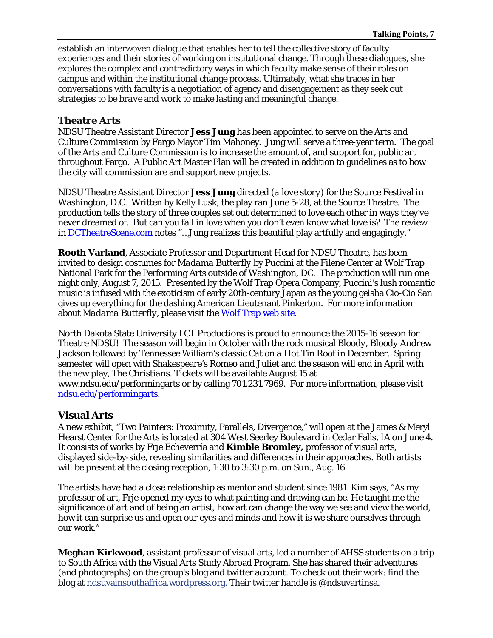establish an interwoven dialogue that enables her to tell the collective story of faculty experiences and their stories of working on institutional change. Through these dialogues, she explores the complex and contradictory ways in which faculty make sense of their roles on campus and within the institutional change process. Ultimately, what she traces in her conversations with faculty is a negotiation of agency and disengagement as they seek out strategies to *be brave* and work to make lasting and meaningful change.

### **Theatre Arts**

NDSU Theatre Assistant Director **Jess Jung** has been appointed to serve on the Arts and Culture Commission by Fargo Mayor Tim Mahoney. Jung will serve a three-year term. The goal of the Arts and Culture Commission is to increase the amount of, and support for, public art throughout Fargo. A Public Art Master Plan will be created in addition to guidelines as to how the city will commission are and support new projects.

NDSU Theatre Assistant Director **Jess Jung** directed *(a love story)* for the Source Festival in Washington, D.C. Written by Kelly Lusk, the play ran June 5-28, at the Source Theatre. The production tells the story of three couples set out determined to love each other in ways they've never dreamed of. But can you fall in love when you don't even know what love is? The review in [DCTheatreScene.com](http://dctheatrescene.com/2015/06/16/source-festival-a-love-story-fresh-funny-and-poignant/) notes "…Jung realizes this beautiful play artfully and engagingly."

**Rooth Varland**, Associate Professor and Department Head for NDSU Theatre, has been invited to design costumes for *Madama Butterfly* by Puccini at the Filene Center at Wolf Trap National Park for the Performing Arts outside of Washington, DC. The production will run one night only, August 7, 2015. Presented by the Wolf Trap Opera Company, Puccini's lush romantic music is infused with the exoticism of early 20th-century Japan as the young geisha Cio-Cio San gives up everything for the dashing American Lieutenant Pinkerton. For more information about *Madama Butterfly*, please visit the [Wolf Trap web site.](https://www.ndsu.edu/performingarts/news/2014-15/www.wolftrap.org/tickets/calendar/performance/15filene/0807show15.aspx)

North Dakota State University LCT Productions is proud to announce the 2015-16 season for Theatre NDSU! The season will begin in October with the rock musical *Bloody, Bloody Andrew Jackson* followed by Tennessee William's classic *Cat on a Hot Tin Roof* in December. Spring semester will open with Shakespeare's *Romeo and Juliet* and the season will end in April with the new play, *The Christians*. Tickets will be available August 15 at www.ndsu.edu/performingarts or by calling 701.231.7969. For more information, please visit [ndsu.edu/performingarts.](https://www.ndsu.edu/performingarts/news/2014-15/3017.html)

### **Visual Arts**

A new exhibit, "Two Painters: Proximity, Parallels, Divergence," will open at the James & Meryl Hearst Center for the Arts is located at 304 West Seerley Boulevard in Cedar Falls, IA on June 4. It consists of works by Frje Echeverría and **Kimble Bromley,** professor of visual arts, displayed side-by-side, revealing similarities and differences in their approaches. Both artists will be present at the closing reception, 1:30 to 3:30 p.m. on Sun., Aug. 16.

The artists have had a close relationship as mentor and student since 1981. Kim says, "As my professor of art, Frje opened my eyes to what painting and drawing can be. He taught me the significance of art and of being an artist, how art can change the way we see and view the world, how it can surprise us and open our eyes and minds and how it is we share ourselves through our work."

**Meghan Kirkwood**, assistant professor of visual arts, led a number of AHSS students on a trip to South Africa with the Visual Arts Study Abroad Program. She has shared their adventures (and photographs) on the group's blog and twitter account. To check out their work: find the blog at [ndsuvainsouthafrica.wordpress.org.](http://ndsuvainsouthafrica.wordpress.org/) Their twitter handle is @ndsuvartinsa.